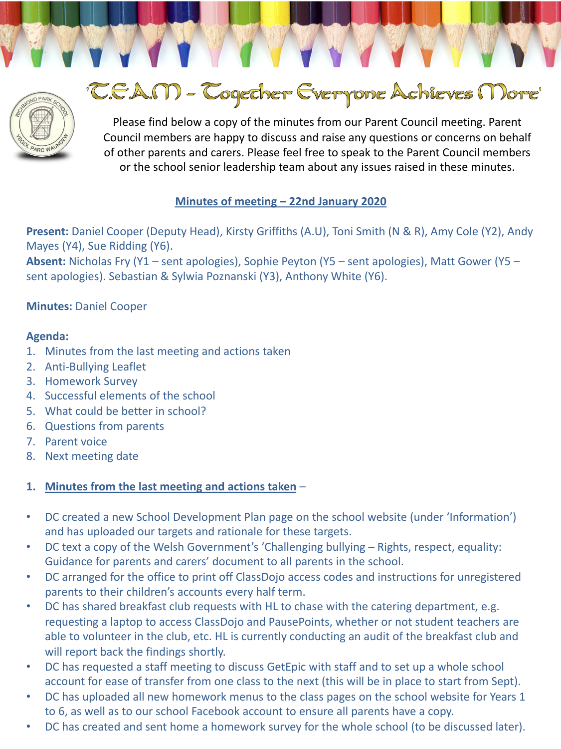

# 'CEAM - Cogether Everyone Achieves More'

Please find below a copy of the minutes from our Parent Council meeting. Parent Council members are happy to discuss and raise any questions or concerns on behalf of other parents and carers. Please feel free to speak to the Parent Council members or the school senior leadership team about any issues raised in these minutes.

# **Minutes of meeting – 22nd January 2020**

**Present:** Daniel Cooper (Deputy Head), Kirsty Griffiths (A.U), Toni Smith (N & R), Amy Cole (Y2), Andy Mayes (Y4), Sue Ridding (Y6).

**Absent:** Nicholas Fry (Y1 – sent apologies), Sophie Peyton (Y5 – sent apologies), Matt Gower (Y5 – sent apologies). Sebastian & Sylwia Poznanski (Y3), Anthony White (Y6).

# **Minutes:** Daniel Cooper

## **Agenda:**

- 1. Minutes from the last meeting and actions taken
- 2. Anti-Bullying Leaflet
- 3. Homework Survey
- 4. Successful elements of the school
- 5. What could be better in school?
- 6. Questions from parents
- 7. Parent voice
- 8. Next meeting date

## **1. Minutes from the last meeting and actions taken** –

- DC created a new School Development Plan page on the school website (under 'Information') and has uploaded our targets and rationale for these targets.
- DC text a copy of the Welsh Government's 'Challenging bullying Rights, respect, equality: Guidance for parents and carers' document to all parents in the school.
- DC arranged for the office to print off ClassDojo access codes and instructions for unregistered parents to their children's accounts every half term.
- DC has shared breakfast club requests with HL to chase with the catering department, e.g. requesting a laptop to access ClassDojo and PausePoints, whether or not student teachers are able to volunteer in the club, etc. HL is currently conducting an audit of the breakfast club and will report back the findings shortly.
- DC has requested a staff meeting to discuss GetEpic with staff and to set up a whole school account for ease of transfer from one class to the next (this will be in place to start from Sept).
- DC has uploaded all new homework menus to the class pages on the school website for Years 1 to 6, as well as to our school Facebook account to ensure all parents have a copy.
- DC has created and sent home a homework survey for the whole school (to be discussed later).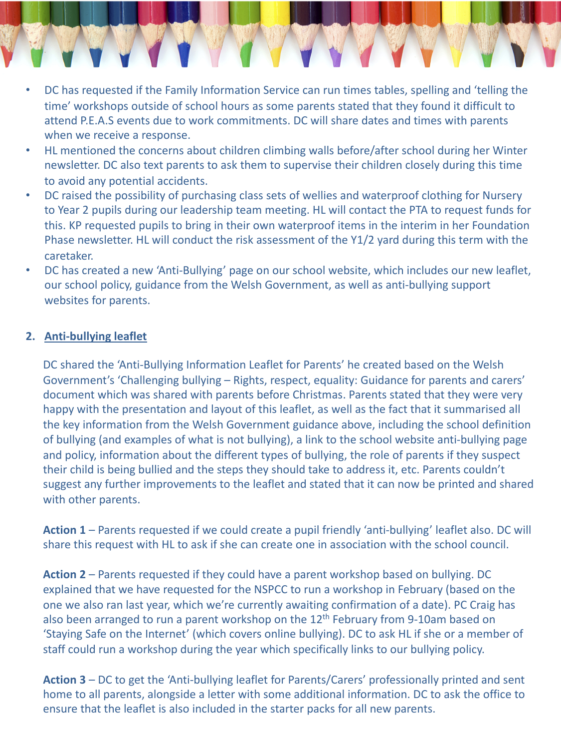- DC has requested if the Family Information Service can run times tables, spelling and 'telling the time' workshops outside of school hours as some parents stated that they found it difficult to attend P.E.A.S events due to work commitments. DC will share dates and times with parents when we receive a response.
- HL mentioned the concerns about children climbing walls before/after school during her Winter newsletter. DC also text parents to ask them to supervise their children closely during this time to avoid any potential accidents.
- DC raised the possibility of purchasing class sets of wellies and waterproof clothing for Nursery to Year 2 pupils during our leadership team meeting. HL will contact the PTA to request funds for this. KP requested pupils to bring in their own waterproof items in the interim in her Foundation Phase newsletter. HL will conduct the risk assessment of the Y1/2 yard during this term with the caretaker.
- DC has created a new 'Anti-Bullying' page on our school website, which includes our new leaflet, our school policy, guidance from the Welsh Government, as well as anti-bullying support websites for parents.

# **2. Anti-bullying leaflet**

DC shared the 'Anti-Bullying Information Leaflet for Parents' he created based on the Welsh Government's 'Challenging bullying – Rights, respect, equality: Guidance for parents and carers' document which was shared with parents before Christmas. Parents stated that they were very happy with the presentation and layout of this leaflet, as well as the fact that it summarised all the key information from the Welsh Government guidance above, including the school definition of bullying (and examples of what is not bullying), a link to the school website anti-bullying page and policy, information about the different types of bullying, the role of parents if they suspect their child is being bullied and the steps they should take to address it, etc. Parents couldn't suggest any further improvements to the leaflet and stated that it can now be printed and shared with other parents.

**Action 1** – Parents requested if we could create a pupil friendly 'anti-bullying' leaflet also. DC will share this request with HL to ask if she can create one in association with the school council.

**Action 2** – Parents requested if they could have a parent workshop based on bullying. DC explained that we have requested for the NSPCC to run a workshop in February (based on the one we also ran last year, which we're currently awaiting confirmation of a date). PC Craig has also been arranged to run a parent workshop on the  $12<sup>th</sup>$  February from 9-10am based on 'Staying Safe on the Internet' (which covers online bullying). DC to ask HL if she or a member of staff could run a workshop during the year which specifically links to our bullying policy.

**Action 3** – DC to get the 'Anti-bullying leaflet for Parents/Carers' professionally printed and sent home to all parents, alongside a letter with some additional information. DC to ask the office to ensure that the leaflet is also included in the starter packs for all new parents.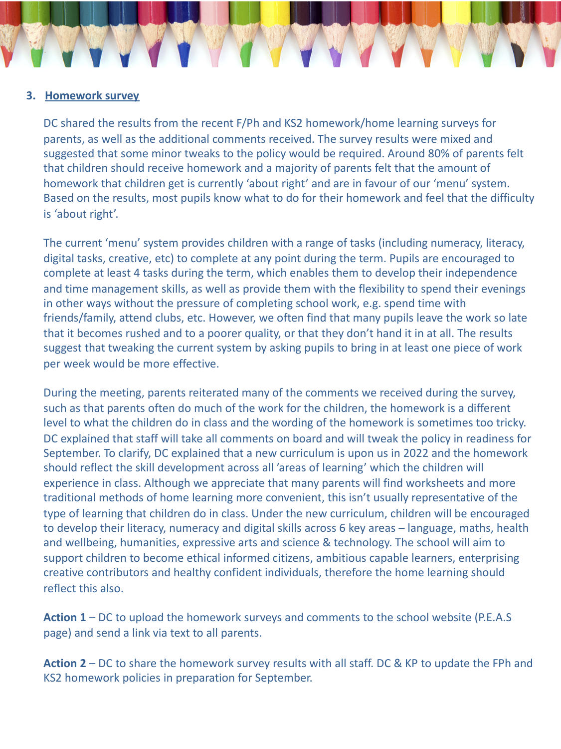#### **3. Homework survey**

DC shared the results from the recent F/Ph and KS2 homework/home learning surveys for parents, as well as the additional comments received. The survey results were mixed and suggested that some minor tweaks to the policy would be required. Around 80% of parents felt that children should receive homework and a majority of parents felt that the amount of homework that children get is currently 'about right' and are in favour of our 'menu' system. Based on the results, most pupils know what to do for their homework and feel that the difficulty is 'about right'.

The current 'menu' system provides children with a range of tasks (including numeracy, literacy, digital tasks, creative, etc) to complete at any point during the term. Pupils are encouraged to complete at least 4 tasks during the term, which enables them to develop their independence and time management skills, as well as provide them with the flexibility to spend their evenings in other ways without the pressure of completing school work, e.g. spend time with friends/family, attend clubs, etc. However, we often find that many pupils leave the work so late that it becomes rushed and to a poorer quality, or that they don't hand it in at all. The results suggest that tweaking the current system by asking pupils to bring in at least one piece of work per week would be more effective.

During the meeting, parents reiterated many of the comments we received during the survey, such as that parents often do much of the work for the children, the homework is a different level to what the children do in class and the wording of the homework is sometimes too tricky. DC explained that staff will take all comments on board and will tweak the policy in readiness for September. To clarify, DC explained that a new curriculum is upon us in 2022 and the homework should reflect the skill development across all 'areas of learning' which the children will experience in class. Although we appreciate that many parents will find worksheets and more traditional methods of home learning more convenient, this isn't usually representative of the type of learning that children do in class. Under the new curriculum, children will be encouraged to develop their literacy, numeracy and digital skills across 6 key areas – language, maths, health and wellbeing, humanities, expressive arts and science & technology. The school will aim to support children to become ethical informed citizens, ambitious capable learners, enterprising creative contributors and healthy confident individuals, therefore the home learning should reflect this also.

**Action 1** – DC to upload the homework surveys and comments to the school website (P.E.A.S page) and send a link via text to all parents.

**Action 2** – DC to share the homework survey results with all staff. DC & KP to update the FPh and KS2 homework policies in preparation for September.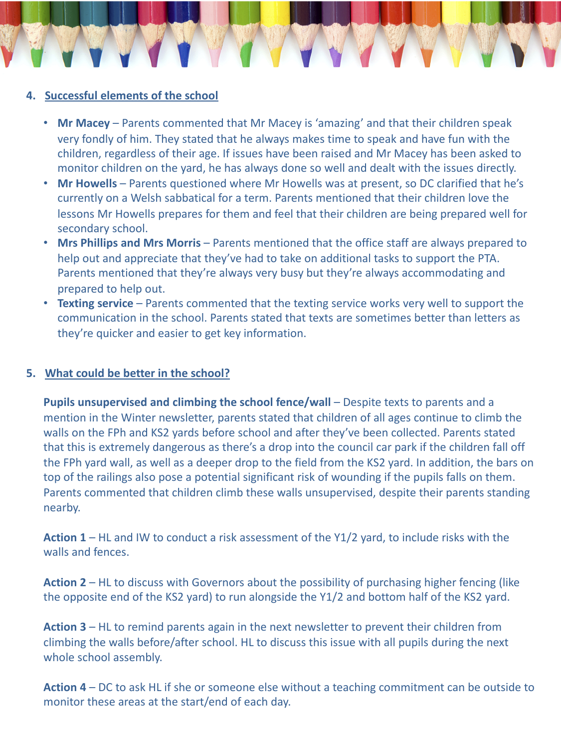## **4. Successful elements of the school**

- **Mr Macey**  Parents commented that Mr Macey is 'amazing' and that their children speak very fondly of him. They stated that he always makes time to speak and have fun with the children, regardless of their age. If issues have been raised and Mr Macey has been asked to monitor children on the yard, he has always done so well and dealt with the issues directly.
- **Mr Howells**  Parents questioned where Mr Howells was at present, so DC clarified that he's currently on a Welsh sabbatical for a term. Parents mentioned that their children love the lessons Mr Howells prepares for them and feel that their children are being prepared well for secondary school.
- Mrs Phillips and Mrs Morris Parents mentioned that the office staff are always prepared to help out and appreciate that they've had to take on additional tasks to support the PTA. Parents mentioned that they're always very busy but they're always accommodating and prepared to help out.
- **Texting service** Parents commented that the texting service works very well to support the communication in the school. Parents stated that texts are sometimes better than letters as they're quicker and easier to get key information.

## **5. What could be better in the school?**

**Pupils unsupervised and climbing the school fence/wall** – Despite texts to parents and a mention in the Winter newsletter, parents stated that children of all ages continue to climb the walls on the FPh and KS2 yards before school and after they've been collected. Parents stated that this is extremely dangerous as there's a drop into the council car park if the children fall off the FPh yard wall, as well as a deeper drop to the field from the KS2 yard. In addition, the bars on top of the railings also pose a potential significant risk of wounding if the pupils falls on them. Parents commented that children climb these walls unsupervised, despite their parents standing nearby.

**Action 1** – HL and IW to conduct a risk assessment of the Y1/2 yard, to include risks with the walls and fences.

**Action 2** – HL to discuss with Governors about the possibility of purchasing higher fencing (like the opposite end of the KS2 yard) to run alongside the Y1/2 and bottom half of the KS2 yard.

**Action 3** – HL to remind parents again in the next newsletter to prevent their children from climbing the walls before/after school. HL to discuss this issue with all pupils during the next whole school assembly.

**Action 4** – DC to ask HL if she or someone else without a teaching commitment can be outside to monitor these areas at the start/end of each day.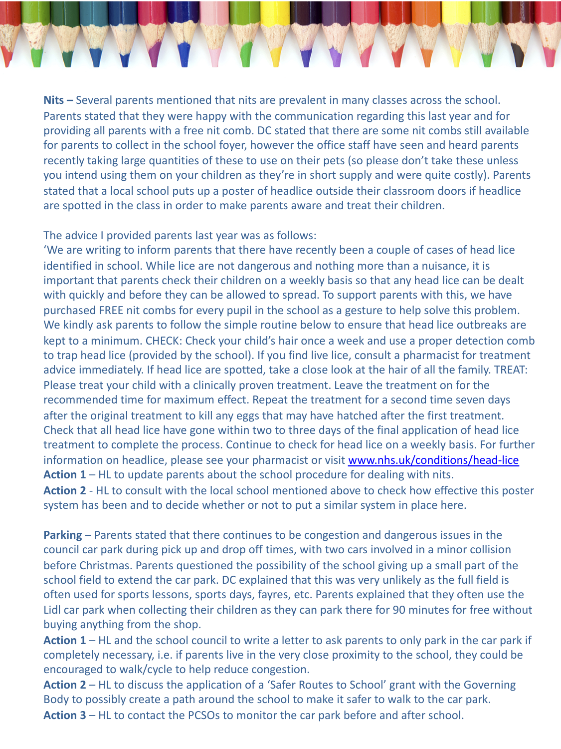

**Nits –** Several parents mentioned that nits are prevalent in many classes across the school. Parents stated that they were happy with the communication regarding this last year and for providing all parents with a free nit comb. DC stated that there are some nit combs still available for parents to collect in the school foyer, however the office staff have seen and heard parents recently taking large quantities of these to use on their pets (so please don't take these unless you intend using them on your children as they're in short supply and were quite costly). Parents stated that a local school puts up a poster of headlice outside their classroom doors if headlice are spotted in the class in order to make parents aware and treat their children.

#### The advice I provided parents last year was as follows:

'We are writing to inform parents that there have recently been a couple of cases of head lice identified in school. While lice are not dangerous and nothing more than a nuisance, it is important that parents check their children on a weekly basis so that any head lice can be dealt with quickly and before they can be allowed to spread. To support parents with this, we have purchased FREE nit combs for every pupil in the school as a gesture to help solve this problem. We kindly ask parents to follow the simple routine below to ensure that head lice outbreaks are kept to a minimum. CHECK: Check your child's hair once a week and use a proper detection comb to trap head lice (provided by the school). If you find live lice, consult a pharmacist for treatment advice immediately. If head lice are spotted, take a close look at the hair of all the family. TREAT: Please treat your child with a clinically proven treatment. Le[ave the treatment on for the](http://www.nhs.uk/conditions/head-lice)  recommended time for maximum effect. Repeat the treatment for a second time seven days after the original treatment to kill any eggs that may have hatched after the first treatment. Check that all head lice have gone within two to three days of the final application of head lice treatment to complete the process. Continue to check for head lice on a weekly basis. For further information on headlice, please see your pharmacist or visit www.nhs.uk/conditions/head-lice **Action 1** – HL to update parents about the school procedure for dealing with nits. **Action 2** - HL to consult with the local school mentioned above to check how effective this poster system has been and to decide whether or not to put a similar system in place here.

**Parking** – Parents stated that there continues to be congestion and dangerous issues in the council car park during pick up and drop off times, with two cars involved in a minor collision before Christmas. Parents questioned the possibility of the school giving up a small part of the school field to extend the car park. DC explained that this was very unlikely as the full field is often used for sports lessons, sports days, fayres, etc. Parents explained that they often use the Lidl car park when collecting their children as they can park there for 90 minutes for free without buying anything from the shop.

**Action 1** – HL and the school council to write a letter to ask parents to only park in the car park if completely necessary, i.e. if parents live in the very close proximity to the school, they could be encouraged to walk/cycle to help reduce congestion.

**Action 2** – HL to discuss the application of a 'Safer Routes to School' grant with the Governing Body to possibly create a path around the school to make it safer to walk to the car park. **Action 3** – HL to contact the PCSOs to monitor the car park before and after school.